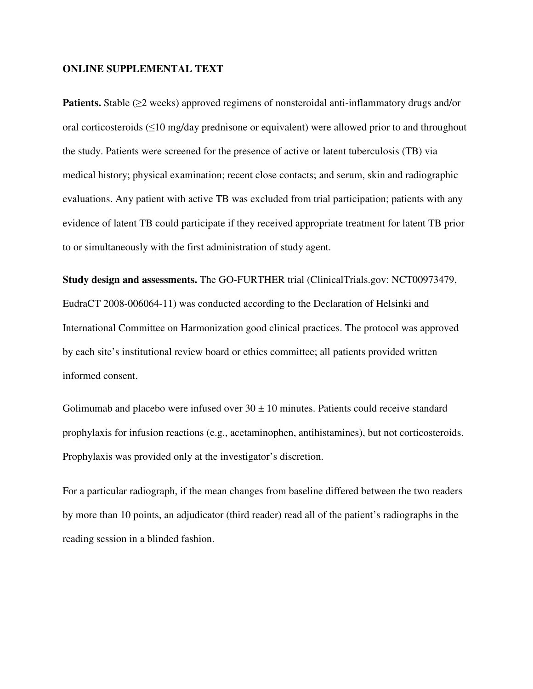## **ONLINE SUPPLEMENTAL TEXT**

**Patients.** Stable (≥2 weeks) approved regimens of nonsteroidal anti-inflammatory drugs and/or oral corticosteroids (≤10 mg/day prednisone or equivalent) were allowed prior to and throughout the study. Patients were screened for the presence of active or latent tuberculosis (TB) via medical history; physical examination; recent close contacts; and serum, skin and radiographic evaluations. Any patient with active TB was excluded from trial participation; patients with any evidence of latent TB could participate if they received appropriate treatment for latent TB prior to or simultaneously with the first administration of study agent.

**Study design and assessments.** The GO-FURTHER trial (ClinicalTrials.gov: NCT00973479, EudraCT 2008-006064-11) was conducted according to the Declaration of Helsinki and International Committee on Harmonization good clinical practices. The protocol was approved by each site's institutional review board or ethics committee; all patients provided written informed consent.

Golimumab and placebo were infused over  $30 \pm 10$  minutes. Patients could receive standard prophylaxis for infusion reactions (e.g., acetaminophen, antihistamines), but not corticosteroids. Prophylaxis was provided only at the investigator's discretion.

For a particular radiograph, if the mean changes from baseline differed between the two readers by more than 10 points, an adjudicator (third reader) read all of the patient's radiographs in the reading session in a blinded fashion.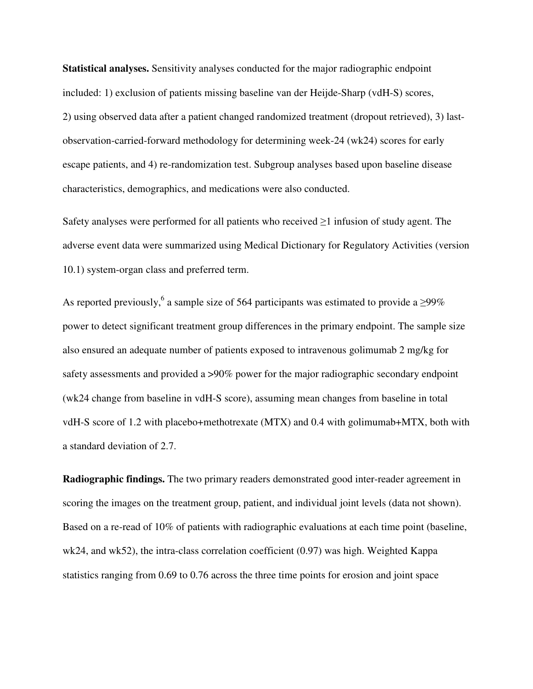**Statistical analyses.** Sensitivity analyses conducted for the major radiographic endpoint included: 1) exclusion of patients missing baseline van der Heijde-Sharp (vdH-S) scores, 2) using observed data after a patient changed randomized treatment (dropout retrieved), 3) lastobservation-carried-forward methodology for determining week-24 (wk24) scores for early escape patients, and 4) re-randomization test. Subgroup analyses based upon baseline disease characteristics, demographics, and medications were also conducted.

Safety analyses were performed for all patients who received  $\geq 1$  infusion of study agent. The adverse event data were summarized using Medical Dictionary for Regulatory Activities (version 10.1) system-organ class and preferred term.

As reported previously,<sup>6</sup> a sample size of 564 participants was estimated to provide a  $\geq$ 99% power to detect significant treatment group differences in the primary endpoint. The sample size also ensured an adequate number of patients exposed to intravenous golimumab 2 mg/kg for safety assessments and provided a >90% power for the major radiographic secondary endpoint (wk24 change from baseline in vdH-S score), assuming mean changes from baseline in total vdH-S score of 1.2 with placebo+methotrexate (MTX) and 0.4 with golimumab+MTX, both with a standard deviation of 2.7.

**Radiographic findings.** The two primary readers demonstrated good inter-reader agreement in scoring the images on the treatment group, patient, and individual joint levels (data not shown). Based on a re-read of 10% of patients with radiographic evaluations at each time point (baseline, wk24, and wk52), the intra-class correlation coefficient (0.97) was high. Weighted Kappa statistics ranging from 0.69 to 0.76 across the three time points for erosion and joint space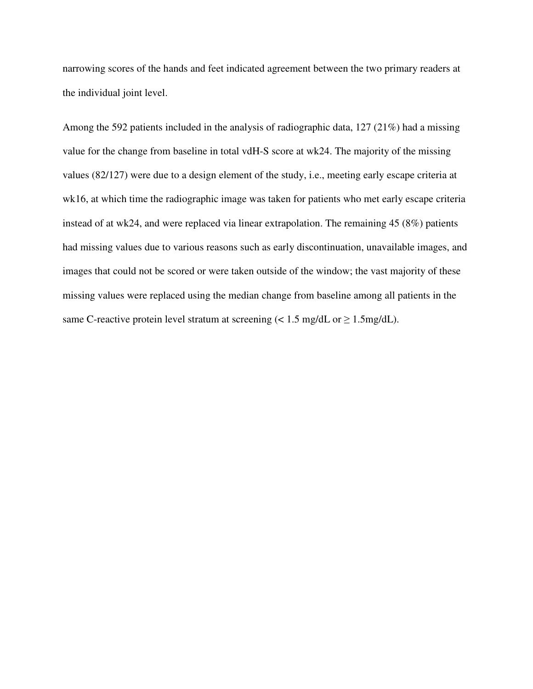narrowing scores of the hands and feet indicated agreement between the two primary readers at the individual joint level.

Among the 592 patients included in the analysis of radiographic data, 127 (21%) had a missing value for the change from baseline in total vdH-S score at wk24. The majority of the missing values (82/127) were due to a design element of the study, i.e., meeting early escape criteria at wk16, at which time the radiographic image was taken for patients who met early escape criteria instead of at wk24, and were replaced via linear extrapolation. The remaining 45 (8%) patients had missing values due to various reasons such as early discontinuation, unavailable images, and images that could not be scored or were taken outside of the window; the vast majority of these missing values were replaced using the median change from baseline among all patients in the same C-reactive protein level stratum at screening  $\ll 1.5$  mg/dL or  $\geq 1.5$ mg/dL).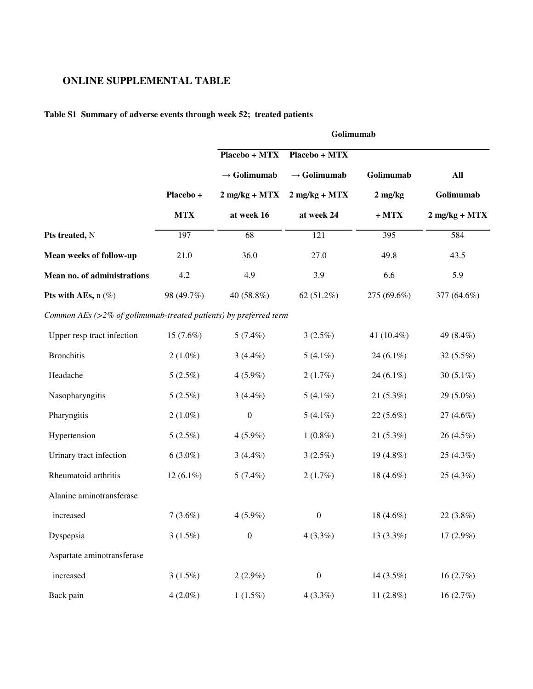## **ONLINE SUPPLEMENTAL TABLE**

## **Table S1 Summary of adverse events through week 52; treated patients**

|                                                                      |             | Golimumab               |                         |              |                 |  |
|----------------------------------------------------------------------|-------------|-------------------------|-------------------------|--------------|-----------------|--|
|                                                                      |             | Placebo + MTX           | Placebo + MTX           |              |                 |  |
|                                                                      |             | $\rightarrow$ Golimumab | $\rightarrow$ Golimumab | Golimumab    | All             |  |
|                                                                      | Placebo +   | $2$ mg/kg + MTX         | $2$ mg/kg + MTX         | $2$ mg/kg    | Golimumab       |  |
|                                                                      | <b>MTX</b>  | at week 16              | at week 24              | $+MTX$       | $2$ mg/kg + MTX |  |
| Pts treated, N                                                       | 197         | 68                      | 121                     | 395          | 584             |  |
| Mean weeks of follow-up                                              | 21.0        | 36.0                    | 27.0                    | 49.8         | 43.5            |  |
| Mean no. of administrations                                          | 4.2         | 4.9                     | 3.9                     | 6.6          | 5.9             |  |
| Pts with AEs, $n$ (%)                                                | 98 (49.7%)  | 40 (58.8%)              | 62 $(51.2\%)$           | 275 (69.6%)  | 377 (64.6%)     |  |
| Common AEs ( $>$ 2% of golimumab-treated patients) by preferred term |             |                         |                         |              |                 |  |
| Upper resp tract infection                                           | 15(7.6%)    | 5(7.4%)                 | 3(2.5%)                 | 41 (10.4%)   | 49 (8.4%)       |  |
| <b>Bronchitis</b>                                                    | $2(1.0\%)$  | $3(4.4\%)$              | $5(4.1\%)$              | 24 $(6.1\%)$ | 32 (5.5%)       |  |
| Headache                                                             | 5(2.5%)     | $4(5.9\%)$              | 2(1.7%)                 | 24 $(6.1\%)$ | 30 $(5.1\%)$    |  |
| Nasopharyngitis                                                      | 5(2.5%)     | $3(4.4\%)$              | $5(4.1\%)$              | $21(5.3\%)$  | 29 (5.0%)       |  |
| Pharyngitis                                                          | $2(1.0\%)$  | $\boldsymbol{0}$        | $5(4.1\%)$              | $22(5.6\%)$  | 27 (4.6%)       |  |
| Hypertension                                                         | 5(2.5%)     | $4(5.9\%)$              | $1(0.8\%)$              | 21(5.3%)     | 26 (4.5%)       |  |
| Urinary tract infection                                              | $6(3.0\%)$  | $3(4.4\%)$              | 3(2.5%)                 | 19 (4.8%)    | 25 (4.3%)       |  |
| Rheumatoid arthritis                                                 | $12(6.1\%)$ | $5(7.4\%)$              | 2(1.7%)                 | 18 $(4.6\%)$ | $25(4.3\%)$     |  |
| Alanine aminotransferase                                             |             |                         |                         |              |                 |  |
| increased                                                            | $7(3.6\%)$  | $4(5.9\%)$              | $\boldsymbol{0}$        | 18 $(4.6\%)$ | 22 (3.8%)       |  |
| Dyspepsia                                                            | 3(1.5%)     | $\boldsymbol{0}$        | $4(3.3\%)$              | $13(3.3\%)$  | 17 (2.9%)       |  |
| Aspartate aminotransferase                                           |             |                         |                         |              |                 |  |
| increased                                                            | $3(1.5\%)$  | $2(2.9\%)$              | $\boldsymbol{0}$        | 14 (3.5%)    | 16(2.7%)        |  |
| Back pain                                                            | $4(2.0\%)$  | $1(1.5\%)$              | 4(3.3%)                 | 11 $(2.8\%)$ | 16 (2.7%)       |  |